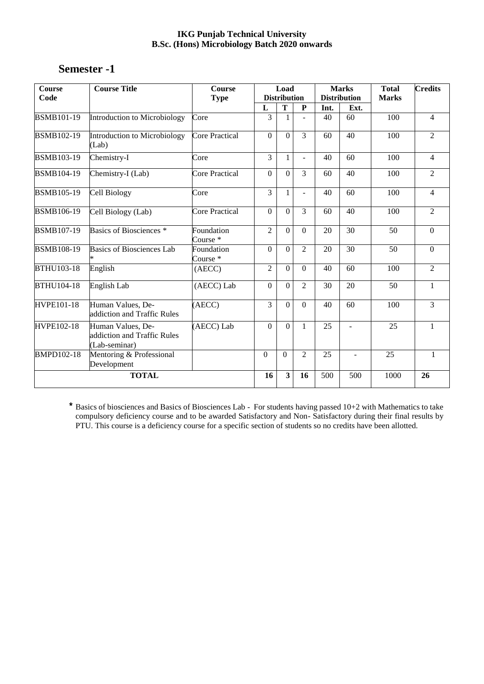| <b>Semester -1</b> |
|--------------------|
|--------------------|

| Course<br>Code    | <b>Course Title</b>                                               | Course<br><b>Type</b>             |                  | Load<br><b>Distribution</b> |                |      | <b>Marks</b><br><b>Distribution</b> | <b>Total</b><br><b>Marks</b> | <b>Credits</b>   |
|-------------------|-------------------------------------------------------------------|-----------------------------------|------------------|-----------------------------|----------------|------|-------------------------------------|------------------------------|------------------|
|                   |                                                                   |                                   | L                | T                           | P              | Int. | Ext.                                |                              |                  |
| <b>BSMB101-19</b> | Introduction to Microbiology                                      | Core                              | $\overline{3}$   |                             |                | 40   | 60                                  | 100                          | 4                |
| <b>BSMB102-19</b> | Introduction to Microbiology<br>(Lab)                             | <b>Core Practical</b>             | $\mathbf{0}$     | $\theta$                    | 3              | 60   | 40                                  | 100                          | $\overline{2}$   |
| <b>BSMB103-19</b> | Chemistry-I                                                       | Core                              | $\overline{3}$   | 1                           | L              | 40   | 60                                  | 100                          | 4                |
| <b>BSMB104-19</b> | Chemistry-I (Lab)                                                 | <b>Core Practical</b>             | $\theta$         | $\mathbf{0}$                | 3              | 60   | 40                                  | 100                          | $\overline{2}$   |
| <b>BSMB105-19</b> | Cell Biology                                                      | Core                              | 3                | 1                           | ÷,             | 40   | 60                                  | 100                          | 4                |
| <b>BSMB106-19</b> | Cell Biology (Lab)                                                | <b>Core Practical</b>             | $\mathbf{0}$     | $\mathbf{0}$                | 3              | 60   | 40                                  | 100                          | $\overline{2}$   |
| <b>BSMB107-19</b> | Basics of Biosciences <sup>*</sup>                                | Foundation<br>Course <sup>*</sup> | $\overline{2}$   | $\mathbf{0}$                | $\Omega$       | 20   | $\overline{30}$                     | 50                           | $\mathbf{0}$     |
| <b>BSMB108-19</b> | <b>Basics of Biosciences Lab</b>                                  | Foundation<br>Course <sup>*</sup> | $\boldsymbol{0}$ | $\theta$                    | $\overline{2}$ | 20   | 30                                  | 50                           | $\boldsymbol{0}$ |
| <b>BTHU103-18</b> | English                                                           | (AECC)                            | $\overline{2}$   | $\mathbf{0}$                | $\Omega$       | 40   | 60                                  | 100                          | $\overline{2}$   |
| <b>BTHU104-18</b> | English Lab                                                       | (AECC) Lab                        | $\theta$         | $\theta$                    | 2              | 30   | 20                                  | 50                           | $\mathbf{1}$     |
| HVPE101-18        | Human Values, De-<br>addiction and Traffic Rules                  | (AECC)                            | $\overline{3}$   | $\mathbf{0}$                | $\Omega$       | 40   | $\overline{60}$                     | 100                          | $\overline{3}$   |
| HVPE102-18        | Human Values, De-<br>addiction and Traffic Rules<br>(Lab-seminar) | (AECC) Lab                        | $\theta$         | $\mathbf{0}$                | $\mathbf{1}$   | 25   | ÷.                                  | 25                           | $\mathbf{1}$     |
| <b>BMPD102-18</b> | Mentoring & Professional<br>Development                           |                                   | $\Omega$         | $\Omega$                    | $\overline{2}$ | 25   | $\blacksquare$                      | 25                           | $\mathbf{1}$     |
| <b>TOTAL</b>      |                                                                   | 16                                | 3                | 16                          | 500            | 500  | 1000                                | 26                           |                  |

\* Basics of biosciences and Basics of Biosciences Lab - For students having passed 10+2 with Mathematics to take compulsory deficiency course and to be awarded Satisfactory and Non- Satisfactory during their final results by PTU. This course is a deficiency course for a specific section of students so no credits have been allotted.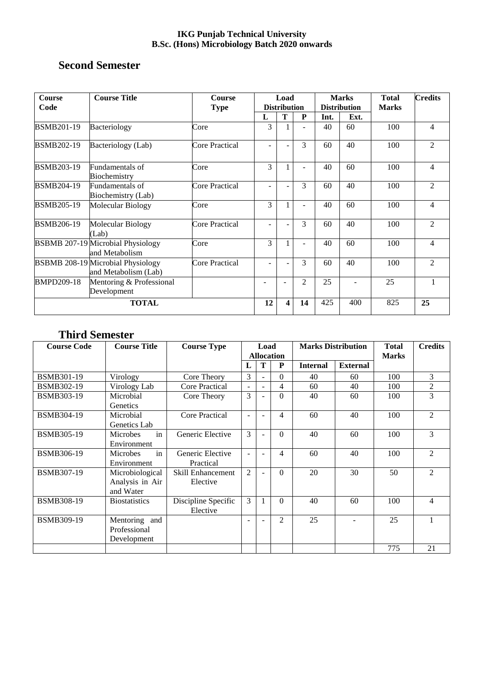# **Second Semester**

| <b>Course</b><br>Code | <b>Course Title</b>                                              | <b>Course</b><br><b>Type</b> | Load<br><b>Distribution</b> |    | <b>Marks</b><br><b>Distribution</b> |      | <b>Total</b><br><b>Marks</b> | <b>Credits</b> |                |
|-----------------------|------------------------------------------------------------------|------------------------------|-----------------------------|----|-------------------------------------|------|------------------------------|----------------|----------------|
|                       |                                                                  |                              | L                           | Т  | ${\bf P}$                           | Int. | Ext.                         |                |                |
| <b>BSMB201-19</b>     | Bacteriology                                                     | Core                         | 3                           |    |                                     | 40   | 60                           | 100            | 4              |
| <b>BSMB202-19</b>     | Bacteriology (Lab)                                               | Core Practical               |                             |    | 3                                   | 60   | 40                           | 100            | $\overline{2}$ |
| <b>BSMB203-19</b>     | Fundamentals of<br>Biochemistry                                  | Core                         | 3                           |    | ÷,                                  | 40   | 60                           | 100            | 4              |
| <b>BSMB204-19</b>     | Fundamentals of<br>Biochemistry (Lab)                            | Core Practical               |                             |    | 3                                   | 60   | 40                           | 100            | $\overline{2}$ |
| <b>BSMB205-19</b>     | Molecular Biology                                                | Core                         | 3                           |    | ۰                                   | 40   | 60                           | 100            | $\overline{4}$ |
| <b>BSMB206-19</b>     | Molecular Biology<br>(Lab)                                       | <b>Core Practical</b>        | $\overline{\phantom{0}}$    |    | 3                                   | 60   | 40                           | 100            | $\overline{2}$ |
|                       | <b>BSBMB 207-19 Microbial Physiology</b><br>and Metabolism       | Core                         | 3                           |    | ۰                                   | 40   | 60                           | 100            | 4              |
|                       | <b>BSBMB 208-19 Microbial Physiology</b><br>and Metabolism (Lab) | <b>Core Practical</b>        |                             |    | 3                                   | 60   | 40                           | 100            | $\overline{2}$ |
| <b>BMPD209-18</b>     | Mentoring & Professional<br>Development                          |                              |                             |    | $\overline{2}$                      | 25   |                              | 25             | 1              |
| <b>TOTAL</b>          |                                                                  | 12                           | 4                           | 14 | 425                                 | 400  | 825                          | 25             |                |

# **Third Semester**

| <b>Course Code</b> | <b>Course Title</b>                             | <b>Course Type</b>                   |                          | Load<br><b>Allocation</b> |                | <b>Marks Distribution</b> |                 | <b>Total</b><br><b>Marks</b> | <b>Credits</b> |
|--------------------|-------------------------------------------------|--------------------------------------|--------------------------|---------------------------|----------------|---------------------------|-----------------|------------------------------|----------------|
|                    |                                                 |                                      | L                        | T                         | P              | <b>Internal</b>           | <b>External</b> |                              |                |
| <b>BSMB301-19</b>  | Virology                                        | Core Theory                          | 3                        | $\overline{a}$            | $\Omega$       | 40                        | 60              | 100                          | 3              |
| BSMB302-19         | Virology Lab                                    | <b>Core Practical</b>                | $\overline{\phantom{a}}$ | ٠                         | $\overline{4}$ | 60                        | 40              | 100                          | $\overline{c}$ |
| <b>BSMB303-19</b>  | Microbial<br><b>Genetics</b>                    | Core Theory                          | 3                        | ÷                         | $\theta$       | 40                        | 60              | 100                          | 3              |
| <b>BSMB304-19</b>  | Microbial<br>Genetics Lab                       | Core Practical                       | $\overline{\phantom{a}}$ |                           | 4              | 60                        | 40              | 100                          | $\overline{c}$ |
| <b>BSMB305-19</b>  | in<br>Microbes<br>Environment                   | Generic Elective                     | 3                        | $\blacksquare$            | $\Omega$       | 40                        | 60              | 100                          | 3              |
| <b>BSMB306-19</b>  | in<br>Microbes<br>Environment                   | Generic Elective<br>Practical        |                          |                           | 4              | 60                        | 40              | 100                          | 2              |
| <b>BSMB307-19</b>  | Microbiological<br>Analysis in Air<br>and Water | <b>Skill Enhancement</b><br>Elective | $\mathfrak{D}$           | $\blacksquare$            | $\Omega$       | 20                        | 30              | 50                           | $\overline{c}$ |
| <b>BSMB308-19</b>  | <b>Biostatistics</b>                            | Discipline Specific<br>Elective      | 3                        |                           | $\theta$       | 40                        | 60              | 100                          | 4              |
| BSMB309-19         | Mentoring and<br>Professional<br>Development    |                                      |                          |                           | $\overline{2}$ | 25                        |                 | 25                           |                |
|                    |                                                 |                                      |                          |                           |                |                           |                 | 775                          | 21             |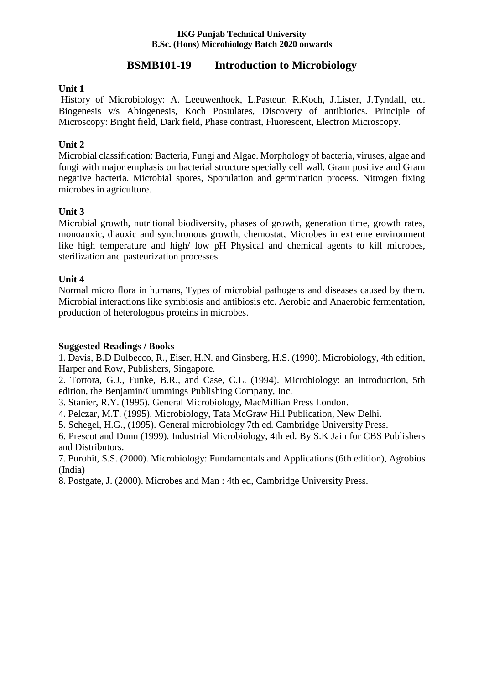# **BSMB101-19 Introduction to Microbiology**

## **Unit 1**

History of Microbiology: A. Leeuwenhoek, L.Pasteur, R.Koch, J.Lister, J.Tyndall, etc. Biogenesis v/s Abiogenesis, Koch Postulates, Discovery of antibiotics. Principle of Microscopy: Bright field, Dark field, Phase contrast, Fluorescent, Electron Microscopy.

## **Unit 2**

Microbial classification: Bacteria, Fungi and Algae. Morphology of bacteria, viruses, algae and fungi with major emphasis on bacterial structure specially cell wall. Gram positive and Gram negative bacteria. Microbial spores, Sporulation and germination process. Nitrogen fixing microbes in agriculture.

## **Unit 3**

Microbial growth, nutritional biodiversity, phases of growth, generation time, growth rates, monoauxic, diauxic and synchronous growth, chemostat, Microbes in extreme environment like high temperature and high/ low pH Physical and chemical agents to kill microbes, sterilization and pasteurization processes.

## **Unit 4**

Normal micro flora in humans, Types of microbial pathogens and diseases caused by them. Microbial interactions like symbiosis and antibiosis etc. Aerobic and Anaerobic fermentation, production of heterologous proteins in microbes.

## **Suggested Readings / Books**

1. Davis, B.D Dulbecco, R., Eiser, H.N. and Ginsberg, H.S. (1990). Microbiology, 4th edition, Harper and Row, Publishers, Singapore.

2. Tortora, G.J., Funke, B.R., and Case, C.L. (1994). Microbiology: an introduction, 5th edition, the Benjamin/Cummings Publishing Company, Inc.

3. Stanier, R.Y. (1995). General Microbiology, MacMillian Press London.

4. Pelczar, M.T. (1995). Microbiology, Tata McGraw Hill Publication, New Delhi.

5. Schegel, H.G., (1995). General microbiology 7th ed. Cambridge University Press.

6. Prescot and Dunn (1999). Industrial Microbiology, 4th ed. By S.K Jain for CBS Publishers and Distributors.

7. Purohit, S.S. (2000). Microbiology: Fundamentals and Applications (6th edition), Agrobios (India)

8. Postgate, J. (2000). Microbes and Man : 4th ed, Cambridge University Press.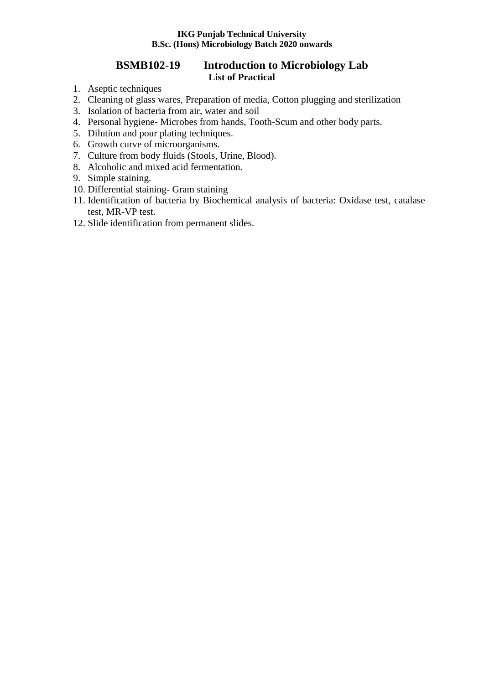## **BSMB102-19 Introduction to Microbiology Lab List of Practical**

- 1. Aseptic techniques
- 2. Cleaning of glass wares, Preparation of media, Cotton plugging and sterilization
- 3. Isolation of bacteria from air, water and soil
- 4. Personal hygiene- Microbes from hands, Tooth-Scum and other body parts.
- 5. Dilution and pour plating techniques.
- 6. Growth curve of microorganisms.
- 7. Culture from body fluids (Stools, Urine, Blood).
- 8. Alcoholic and mixed acid fermentation.
- 9. Simple staining.
- 10. Differential staining- Gram staining
- 11. Identification of bacteria by Biochemical analysis of bacteria: Oxidase test, catalase test, MR-VP test.
- 12. Slide identification from permanent slides.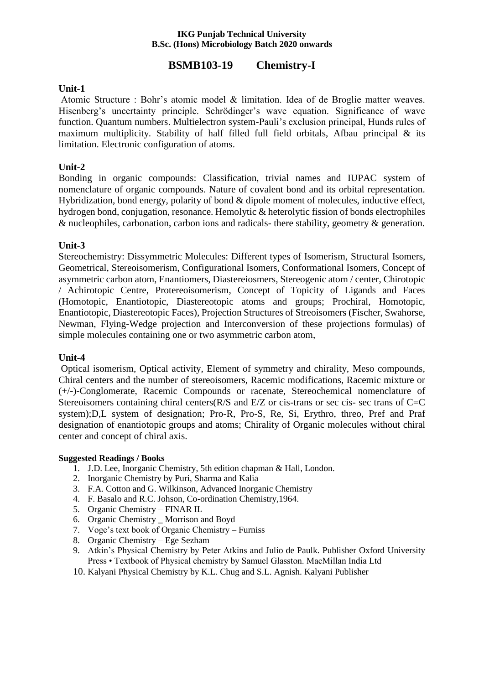# **BSMB103-19 Chemistry-I**

### **Unit-1**

Atomic Structure : Bohr's atomic model & limitation. Idea of de Broglie matter weaves. Hisenberg's uncertainty principle. Schrödinger's wave equation. Significance of wave function. Quantum numbers. Multielectron system-Pauli's exclusion principal, Hunds rules of maximum multiplicity. Stability of half filled full field orbitals, Afbau principal & its limitation. Electronic configuration of atoms.

### **Unit-2**

Bonding in organic compounds: Classification, trivial names and IUPAC system of nomenclature of organic compounds. Nature of covalent bond and its orbital representation. Hybridization, bond energy, polarity of bond & dipole moment of molecules, inductive effect, hydrogen bond, conjugation, resonance. Hemolytic & heterolytic fission of bonds electrophiles & nucleophiles, carbonation, carbon ions and radicals- there stability, geometry & generation.

#### **Unit-3**

Stereochemistry: Dissymmetric Molecules: Different types of Isomerism, Structural Isomers, Geometrical, Stereoisomerism, Configurational Isomers, Conformational Isomers, Concept of asymmetric carbon atom, Enantiomers, Diastereiosmers, Stereogenic atom / center, Chirotopic / Achirotopic Centre, Protereoisomerism, Concept of Topicity of Ligands and Faces (Homotopic, Enantiotopic, Diastereotopic atoms and groups; Prochiral, Homotopic, Enantiotopic, Diastereotopic Faces), Projection Structures of Streoisomers (Fischer, Swahorse, Newman, Flying-Wedge projection and Interconversion of these projections formulas) of simple molecules containing one or two asymmetric carbon atom,

## **Unit-4**

Optical isomerism, Optical activity, Element of symmetry and chirality, Meso compounds, Chiral centers and the number of stereoisomers, Racemic modifications, Racemic mixture or (+/-)-Conglomerate, Racemic Compounds or racenate, Stereochemical nomenclature of Stereoisomers containing chiral centers(R/S and E/Z or cis-trans or sec cis- sec trans of C=C system);D,L system of designation; Pro-R, Pro-S, Re, Si, Erythro, threo, Pref and Praf designation of enantiotopic groups and atoms; Chirality of Organic molecules without chiral center and concept of chiral axis.

#### **Suggested Readings / Books**

- 1. J.D. Lee, Inorganic Chemistry, 5th edition chapman & Hall, London.
- 2. Inorganic Chemistry by Puri, Sharma and Kalia
- 3. F.A. Cotton and G. Wilkinson, Advanced Inorganic Chemistry
- 4. F. Basalo and R.C. Johson, Co-ordination Chemistry,1964.
- 5. Organic Chemistry FINAR IL
- 6. Organic Chemistry \_ Morrison and Boyd
- 7. Voge's text book of Organic Chemistry Furniss
- 8. Organic Chemistry Ege Sezham
- 9. Atkin's Physical Chemistry by Peter Atkins and Julio de Paulk. Publisher Oxford University Press • Textbook of Physical chemistry by Samuel Glasston. MacMillan India Ltd
- 10. Kalyani Physical Chemistry by K.L. Chug and S.L. Agnish. Kalyani Publisher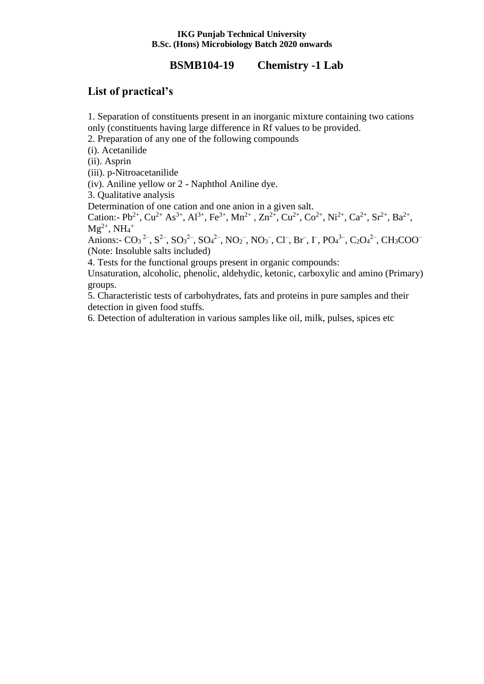# **BSMB104-19 Chemistry -1 Lab**

# **List of practical's**

1. Separation of constituents present in an inorganic mixture containing two cations only (constituents having large difference in Rf values to be provided.

2. Preparation of any one of the following compounds

(i). Acetanilide

(ii). Asprin

(iii). p-Nitroacetanilide

(iv). Aniline yellow or 2 - Naphthol Aniline dye.

3. Qualitative analysis

Determination of one cation and one anion in a given salt.

Cation:- Pb<sup>2+</sup>, Cu<sup>2+</sup> As<sup>3+</sup>, Al<sup>3+</sup>, Fe<sup>3+</sup>, Mn<sup>2+</sup>, Zn<sup>2+</sup>, Cu<sup>2+</sup>, Co<sup>2+</sup>, Ni<sup>2+</sup>, Ca<sup>2+</sup>, Sr<sup>2+</sup>, Ba<sup>2+</sup>,  $Mg^{2+}$ , NH<sub>4</sub><sup>+</sup>

Anions:-  $CO_3^2$ <sup>2-</sup>,  $SO_3^2$ <sup>2-</sup>,  $SO_4^2$ <sup>2-</sup>,  $NO_2^-$ ,  $NO_3^-$ ,  $Cl^-$ ,  $Br^-$ ,  $\Gamma$ ,  $PO_4^3$ <sup>-</sup>,  $C_2O_4^2$ <sup>-</sup>,  $CH_3COO^-$ (Note: Insoluble salts included)

4. Tests for the functional groups present in organic compounds:

Unsaturation, alcoholic, phenolic, aldehydic, ketonic, carboxylic and amino (Primary) groups.

5. Characteristic tests of carbohydrates, fats and proteins in pure samples and their detection in given food stuffs.

6. Detection of adulteration in various samples like oil, milk, pulses, spices etc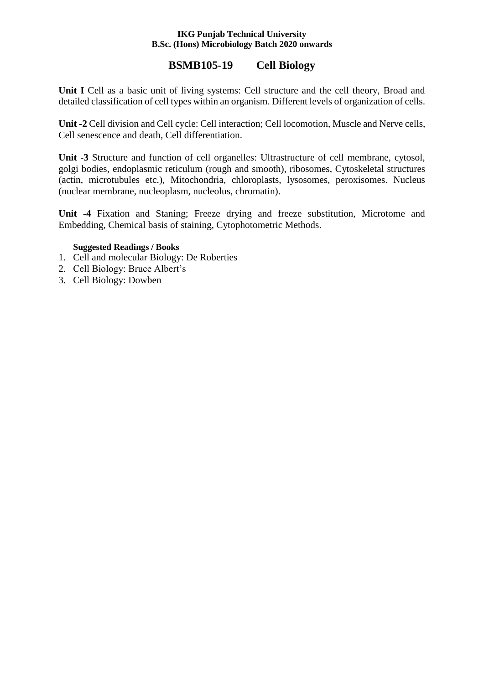# **BSMB105-19 Cell Biology**

**Unit I** Cell as a basic unit of living systems: Cell structure and the cell theory, Broad and detailed classification of cell types within an organism. Different levels of organization of cells.

**Unit -2** Cell division and Cell cycle: Cell interaction; Cell locomotion, Muscle and Nerve cells, Cell senescence and death, Cell differentiation.

**Unit -3** Structure and function of cell organelles: Ultrastructure of cell membrane, cytosol, golgi bodies, endoplasmic reticulum (rough and smooth), ribosomes, Cytoskeletal structures (actin, microtubules etc.), Mitochondria, chloroplasts, lysosomes, peroxisomes. Nucleus (nuclear membrane, nucleoplasm, nucleolus, chromatin).

**Unit -4** Fixation and Staning; Freeze drying and freeze substitution, Microtome and Embedding, Chemical basis of staining, Cytophotometric Methods.

## **Suggested Readings / Books**

- 1. Cell and molecular Biology: De Roberties
- 2. Cell Biology: Bruce Albert's
- 3. Cell Biology: Dowben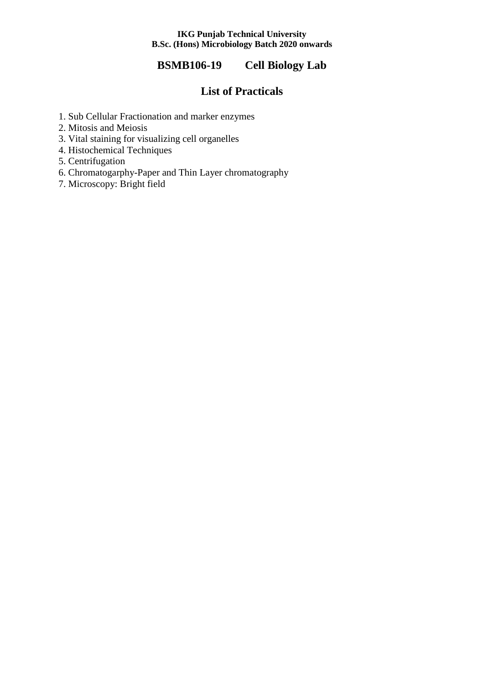# **BSMB106-19 Cell Biology Lab**

# **List of Practicals**

- 1. Sub Cellular Fractionation and marker enzymes
- 2. Mitosis and Meiosis
- 3. Vital staining for visualizing cell organelles
- 4. Histochemical Techniques
- 5. Centrifugation
- 6. Chromatogarphy-Paper and Thin Layer chromatography
- 7. Microscopy: Bright field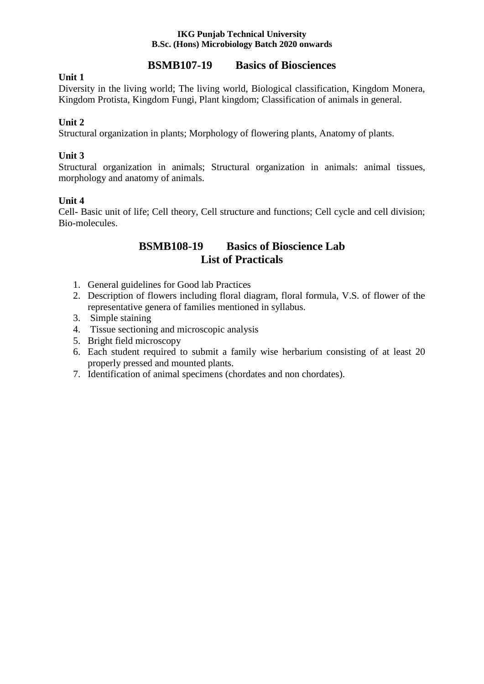# **BSMB107-19 Basics of Biosciences**

## **Unit 1**

Diversity in the living world; The living world, Biological classification, Kingdom Monera, Kingdom Protista, Kingdom Fungi, Plant kingdom; Classification of animals in general.

## **Unit 2**

Structural organization in plants; Morphology of flowering plants, Anatomy of plants.

## **Unit 3**

Structural organization in animals; Structural organization in animals: animal tissues, morphology and anatomy of animals.

## **Unit 4**

Cell- Basic unit of life; Cell theory, Cell structure and functions; Cell cycle and cell division; Bio-molecules.

# **BSMB108-19 Basics of Bioscience Lab List of Practicals**

- 1. General guidelines for Good lab Practices
- 2. Description of flowers including floral diagram, floral formula, V.S. of flower of the representative genera of families mentioned in syllabus.
- 3. Simple staining
- 4. Tissue sectioning and microscopic analysis
- 5. Bright field microscopy
- 6. Each student required to submit a family wise herbarium consisting of at least 20 properly pressed and mounted plants.
- 7. Identification of animal specimens (chordates and non chordates).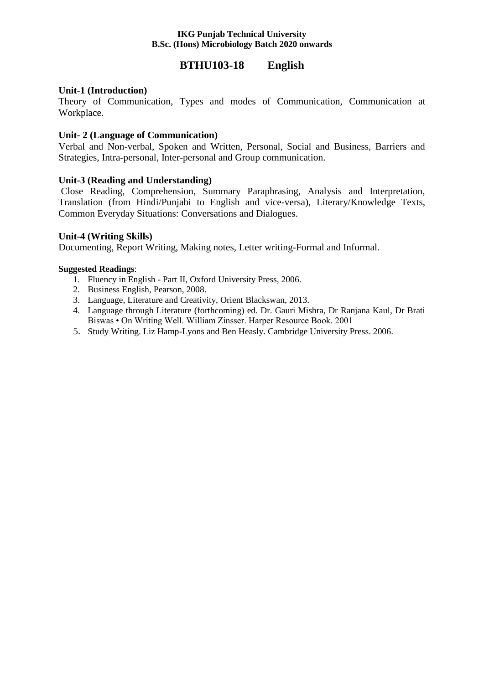# **BTHU103-18 English**

## **Unit-1 (Introduction)**

Theory of Communication, Types and modes of Communication, Communication at Workplace.

## **Unit- 2 (Language of Communication)**

Verbal and Non-verbal, Spoken and Written, Personal, Social and Business, Barriers and Strategies, Intra-personal, Inter-personal and Group communication.

## **Unit-3 (Reading and Understanding)**

Close Reading, Comprehension, Summary Paraphrasing, Analysis and Interpretation, Translation (from Hindi/Punjabi to English and vice-versa), Literary/Knowledge Texts, Common Everyday Situations: Conversations and Dialogues.

## **Unit-4 (Writing Skills)**

Documenting, Report Writing, Making notes, Letter writing-Formal and Informal.

## **Suggested Readings**:

- 1. Fluency in English Part II, Oxford University Press, 2006.
- 2. Business English, Pearson, 2008.
- 3. Language, Literature and Creativity, Orient Blackswan, 2013.
- 4. Language through Literature (forthcoming) ed. Dr. Gauri Mishra, Dr Ranjana Kaul, Dr Brati Biswas • On Writing Well. William Zinsser. Harper Resource Book. 2001
- 5. Study Writing. Liz Hamp-Lyons and Ben Heasly. Cambridge University Press. 2006.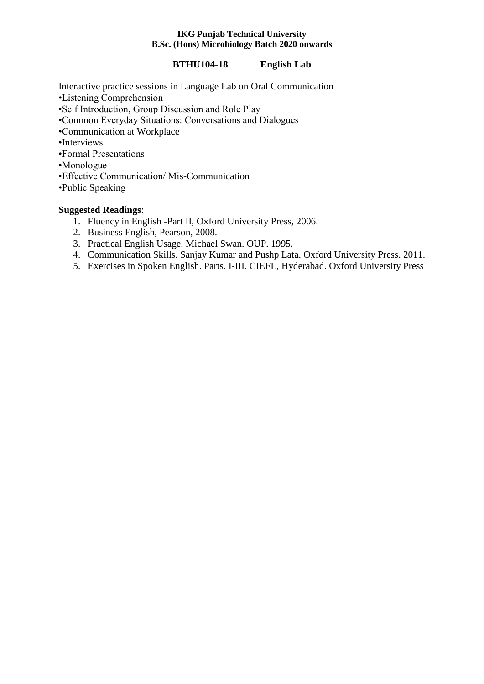## **BTHU104-18 English Lab**

Interactive practice sessions in Language Lab on Oral Communication •Listening Comprehension •Self Introduction, Group Discussion and Role Play •Common Everyday Situations: Conversations and Dialogues •Communication at Workplace •Interviews •Formal Presentations •Monologue •Effective Communication/ Mis-Communication •Public Speaking

## **Suggested Readings**:

- 1. Fluency in English -Part II, Oxford University Press, 2006.
- 2. Business English, Pearson, 2008.
- 3. Practical English Usage. Michael Swan. OUP. 1995.
- 4. Communication Skills. Sanjay Kumar and Pushp Lata. Oxford University Press. 2011.
- 5. Exercises in Spoken English. Parts. I-III. CIEFL, Hyderabad. Oxford University Press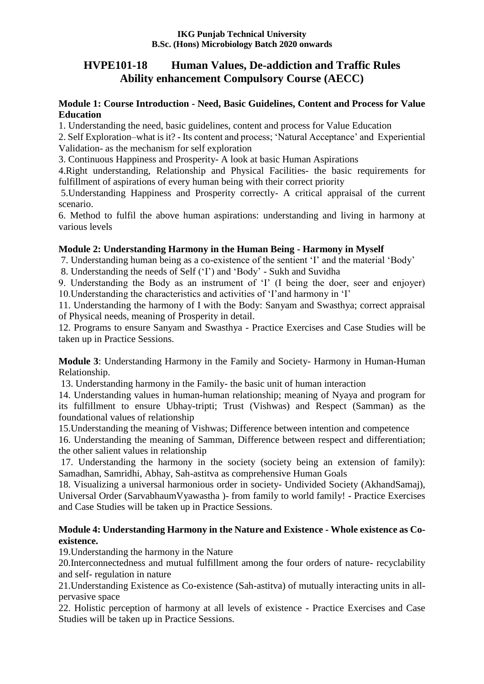# **HVPE101-18 Human Values, De-addiction and Traffic Rules Ability enhancement Compulsory Course (AECC)**

## **Module 1: Course Introduction - Need, Basic Guidelines, Content and Process for Value Education**

1. Understanding the need, basic guidelines, content and process for Value Education

2. Self Exploration–what is it? - Its content and process; 'Natural Acceptance' and Experiential Validation- as the mechanism for self exploration

3. Continuous Happiness and Prosperity- A look at basic Human Aspirations

4.Right understanding, Relationship and Physical Facilities- the basic requirements for fulfillment of aspirations of every human being with their correct priority

5.Understanding Happiness and Prosperity correctly- A critical appraisal of the current scenario.

6. Method to fulfil the above human aspirations: understanding and living in harmony at various levels

# **Module 2: Understanding Harmony in the Human Being - Harmony in Myself**

7. Understanding human being as a co-existence of the sentient 'I' and the material 'Body'

8. Understanding the needs of Self ('I') and 'Body' - Sukh and Suvidha

9. Understanding the Body as an instrument of 'I' (I being the doer, seer and enjoyer) 10.Understanding the characteristics and activities of 'I'and harmony in 'I'

11. Understanding the harmony of I with the Body: Sanyam and Swasthya; correct appraisal of Physical needs, meaning of Prosperity in detail.

12. Programs to ensure Sanyam and Swasthya - Practice Exercises and Case Studies will be taken up in Practice Sessions.

**Module 3**: Understanding Harmony in the Family and Society- Harmony in Human-Human Relationship.

13. Understanding harmony in the Family- the basic unit of human interaction

14. Understanding values in human-human relationship; meaning of Nyaya and program for its fulfillment to ensure Ubhay-tripti; Trust (Vishwas) and Respect (Samman) as the foundational values of relationship

15.Understanding the meaning of Vishwas; Difference between intention and competence

16. Understanding the meaning of Samman, Difference between respect and differentiation; the other salient values in relationship

17. Understanding the harmony in the society (society being an extension of family): Samadhan, Samridhi, Abhay, Sah-astitva as comprehensive Human Goals

18. Visualizing a universal harmonious order in society- Undivided Society (AkhandSamaj), Universal Order (SarvabhaumVyawastha )- from family to world family! - Practice Exercises and Case Studies will be taken up in Practice Sessions.

## **Module 4: Understanding Harmony in the Nature and Existence - Whole existence as Coexistence.**

19.Understanding the harmony in the Nature

20.Interconnectedness and mutual fulfillment among the four orders of nature- recyclability and self- regulation in nature

21.Understanding Existence as Co-existence (Sah-astitva) of mutually interacting units in allpervasive space

22. Holistic perception of harmony at all levels of existence - Practice Exercises and Case Studies will be taken up in Practice Sessions.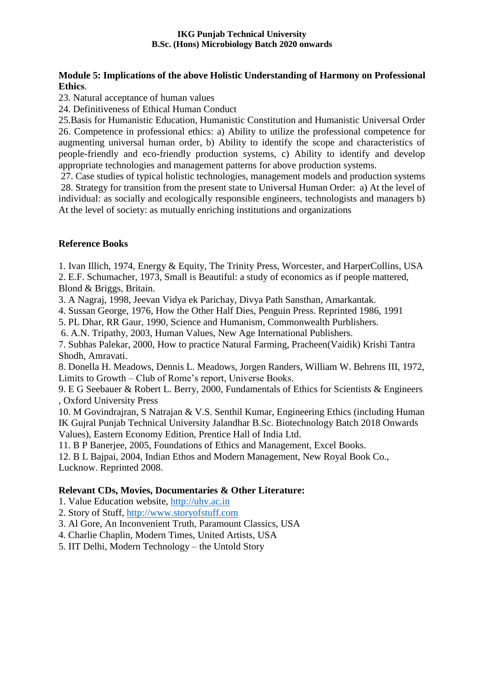## **Module 5: Implications of the above Holistic Understanding of Harmony on Professional Ethics**.

23. Natural acceptance of human values

24. Definitiveness of Ethical Human Conduct

25.Basis for Humanistic Education, Humanistic Constitution and Humanistic Universal Order 26. Competence in professional ethics: a) Ability to utilize the professional competence for augmenting universal human order, b) Ability to identify the scope and characteristics of people-friendly and eco-friendly production systems, c) Ability to identify and develop appropriate technologies and management patterns for above production systems.

27. Case studies of typical holistic technologies, management models and production systems 28. Strategy for transition from the present state to Universal Human Order: a) At the level of individual: as socially and ecologically responsible engineers, technologists and managers b) At the level of society: as mutually enriching institutions and organizations

## **Reference Books**

1. Ivan Illich, 1974, Energy & Equity, The Trinity Press, Worcester, and HarperCollins, USA

2. E.F. Schumacher, 1973, Small is Beautiful: a study of economics as if people mattered, Blond & Briggs, Britain.

3. A Nagraj, 1998, Jeevan Vidya ek Parichay, Divya Path Sansthan, Amarkantak.

4. Sussan George, 1976, How the Other Half Dies, Penguin Press. Reprinted 1986, 1991

5. PL Dhar, RR Gaur, 1990, Science and Humanism, Commonwealth Purblishers.

6. A.N. Tripathy, 2003, Human Values, New Age International Publishers.

7. Subhas Palekar, 2000, How to practice Natural Farming, Pracheen(Vaidik) Krishi Tantra Shodh, Amravati.

8. Donella H. Meadows, Dennis L. Meadows, Jorgen Randers, William W. Behrens III, 1972, Limits to Growth – Club of Rome's report, Universe Books.

9. E G Seebauer & Robert L. Berry, 2000, Fundamentals of Ethics for Scientists & Engineers , Oxford University Press

10. M Govindrajran, S Natrajan & V.S. Senthil Kumar, Engineering Ethics (including Human IK Gujral Punjab Technical University Jalandhar B.Sc. Biotechnology Batch 2018 Onwards Values), Eastern Economy Edition, Prentice Hall of India Ltd.

11. B P Banerjee, 2005, Foundations of Ethics and Management, Excel Books.

12. B L Bajpai, 2004, Indian Ethos and Modern Management, New Royal Book Co., Lucknow. Reprinted 2008.

## **Relevant CDs, Movies, Documentaries & Other Literature:**

1. Value Education website, [http://uhv.ac.in](http://uhv.ac.in/)

- 2. Story of Stuff, [http://www.storyofstuff.com](http://www.storyofstuff.com/)
- 3. Al Gore, An Inconvenient Truth, Paramount Classics, USA
- 4. Charlie Chaplin, Modern Times, United Artists, USA
- 5. IIT Delhi, Modern Technology the Untold Story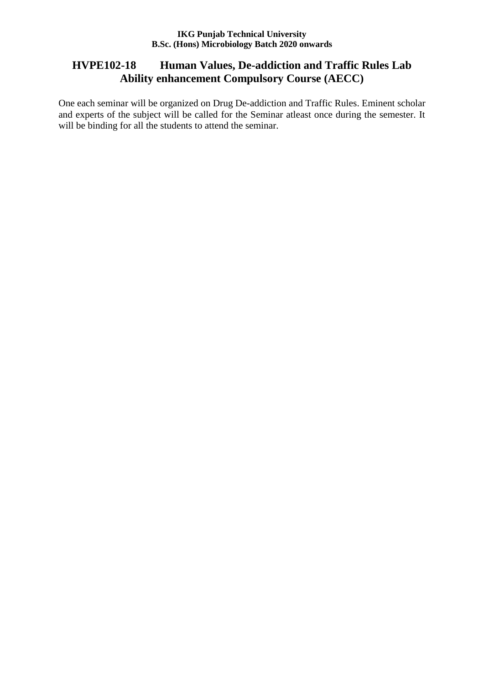# **HVPE102-18 Human Values, De-addiction and Traffic Rules Lab Ability enhancement Compulsory Course (AECC)**

One each seminar will be organized on Drug De-addiction and Traffic Rules. Eminent scholar and experts of the subject will be called for the Seminar atleast once during the semester. It will be binding for all the students to attend the seminar.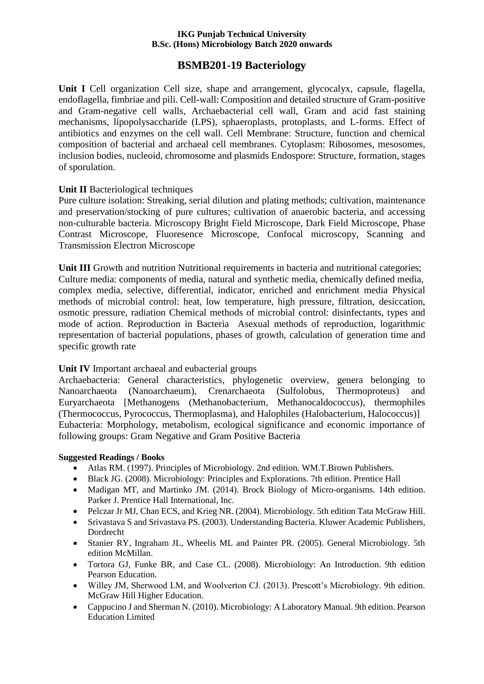# **BSMB201-19 Bacteriology**

**Unit I** Cell organization Cell size, shape and arrangement, glycocalyx, capsule, flagella, endoflagella, fimbriae and pili. Cell-wall: Composition and detailed structure of Gram-positive and Gram-negative cell walls, Archaebacterial cell wall, Gram and acid fast staining mechanisms, lipopolysaccharide (LPS), sphaeroplasts, protoplasts, and L-forms. Effect of antibiotics and enzymes on the cell wall. Cell Membrane: Structure, function and chemical composition of bacterial and archaeal cell membranes. Cytoplasm: Ribosomes, mesosomes, inclusion bodies, nucleoid, chromosome and plasmids Endospore: Structure, formation, stages of sporulation.

## **Unit II** Bacteriological techniques

Pure culture isolation: Streaking, serial dilution and plating methods; cultivation, maintenance and preservation/stocking of pure cultures; cultivation of anaerobic bacteria, and accessing non-culturable bacteria. Microscopy Bright Field Microscope, Dark Field Microscope, Phase Contrast Microscope, Fluoresence Microscope, Confocal microscopy, Scanning and Transmission Electron Microscope

**Unit III** Growth and nutrition Nutritional requirements in bacteria and nutritional categories; Culture media: components of media, natural and synthetic media, chemically defined media, complex media, selective, differential, indicator, enriched and enrichment media Physical methods of microbial control: heat, low temperature, high pressure, filtration, desiccation, osmotic pressure, radiation Chemical methods of microbial control: disinfectants, types and mode of action. Reproduction in Bacteria Asexual methods of reproduction, logarithmic representation of bacterial populations, phases of growth, calculation of generation time and specific growth rate

## **Unit IV** Important archaeal and eubacterial groups

Archaebacteria: General characteristics, phylogenetic overview, genera belonging to Nanoarchaeota (Nanoarchaeum), Crenarchaeota (Sulfolobus, Thermoproteus) and Euryarchaeota [Methanogens (Methanobacterium, Methanocaldococcus), thermophiles (Thermococcus, Pyrococcus, Thermoplasma), and Halophiles (Halobacterium, Halococcus)] Eubacteria: Morphology, metabolism, ecological significance and economic importance of following groups: Gram Negative and Gram Positive Bacteria

## **Suggested Readings / Books**

- Atlas RM. (1997). Principles of Microbiology. 2nd edition. WM.T.Brown Publishers.
- Black JG. (2008). Microbiology: Principles and Explorations. 7th edition. Prentice Hall
- Madigan MT, and Martinko JM. (2014). Brock Biology of Micro-organisms. 14th edition. Parker J. Prentice Hall International, Inc.
- Pelczar Jr MJ, Chan ECS, and Krieg NR. (2004). Microbiology. 5th edition Tata McGraw Hill.
- Srivastava S and Srivastava PS. (2003). Understanding Bacteria. Kluwer Academic Publishers, Dordrecht
- Stanier RY, Ingraham JL, Wheelis ML and Painter PR. (2005). General Microbiology. 5th edition McMillan.
- Tortora GJ, Funke BR, and Case CL. (2008). Microbiology: An Introduction. 9th edition Pearson Education.
- Willey JM, Sherwood LM, and Woolverton CJ. (2013). Prescott's Microbiology. 9th edition. McGraw Hill Higher Education.
- Cappucino J and Sherman N. (2010). Microbiology: A Laboratory Manual. 9th edition. Pearson Education Limited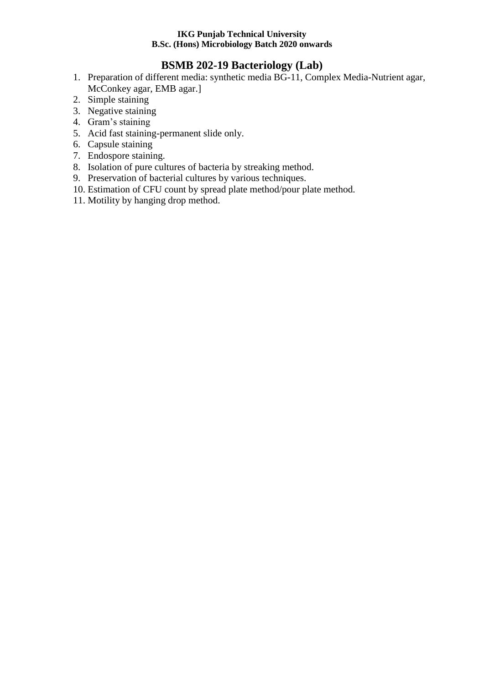# **BSMB 202-19 Bacteriology (Lab)**

- 1. Preparation of different media: synthetic media BG-11, Complex Media-Nutrient agar, McConkey agar, EMB agar.]
- 2. Simple staining
- 3. Negative staining
- 4. Gram's staining
- 5. Acid fast staining-permanent slide only.
- 6. Capsule staining
- 7. Endospore staining.
- 8. Isolation of pure cultures of bacteria by streaking method.
- 9. Preservation of bacterial cultures by various techniques.
- 10. Estimation of CFU count by spread plate method/pour plate method.
- 11. Motility by hanging drop method.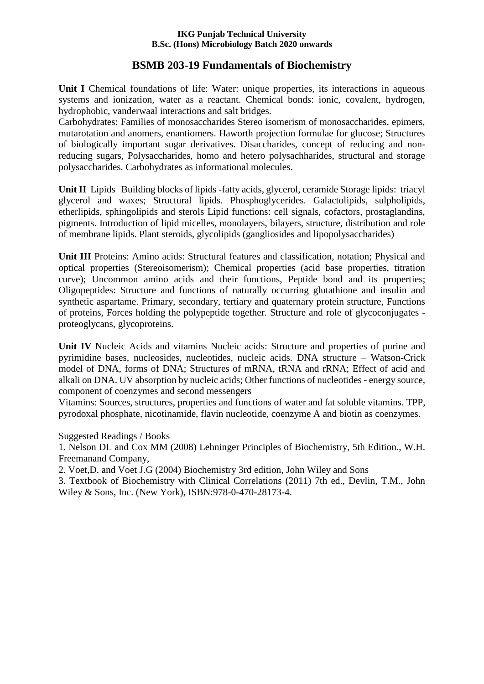# **BSMB 203-19 Fundamentals of Biochemistry**

**Unit I** Chemical foundations of life: Water: unique properties, its interactions in aqueous systems and ionization, water as a reactant. Chemical bonds: ionic, covalent, hydrogen, hydrophobic, vanderwaal interactions and salt bridges.

Carbohydrates: Families of monosaccharides Stereo isomerism of monosaccharides, epimers, mutarotation and anomers, enantiomers. Haworth projection formulae for glucose; Structures of biologically important sugar derivatives. Disaccharides, concept of reducing and nonreducing sugars, Polysaccharides, homo and hetero polysachharides, structural and storage polysaccharides. Carbohydrates as informational molecules.

**Unit II** Lipids Building blocks of lipids -fatty acids, glycerol, ceramide Storage lipids: triacyl glycerol and waxes; Structural lipids. Phosphoglycerides. Galactolipids, sulpholipids, etherlipids, sphingolipids and sterols Lipid functions: cell signals, cofactors, prostaglandins, pigments. Introduction of lipid micelles, monolayers, bilayers, structure, distribution and role of membrane lipids. Plant steroids, glycolipids (gangliosides and lipopolysaccharides)

**Unit III** Proteins: Amino acids: Structural features and classification, notation; Physical and optical properties (Stereoisomerism); Chemical properties (acid base properties, titration curve); Uncommon amino acids and their functions, Peptide bond and its properties; Oligopeptides: Structure and functions of naturally occurring glutathione and insulin and synthetic aspartame. Primary, secondary, tertiary and quaternary protein structure, Functions of proteins, Forces holding the polypeptide together. Structure and role of glycoconjugates proteoglycans, glycoproteins.

**Unit IV** Nucleic Acids and vitamins Nucleic acids: Structure and properties of purine and pyrimidine bases, nucleosides, nucleotides, nucleic acids. DNA structure – Watson-Crick model of DNA, forms of DNA; Structures of mRNA, tRNA and rRNA; Effect of acid and alkali on DNA. UV absorption by nucleic acids; Other functions of nucleotides - energy source, component of coenzymes and second messengers

Vitamins: Sources, structures, properties and functions of water and fat soluble vitamins. TPP, pyrodoxal phosphate, nicotinamide, flavin nucleotide, coenzyme A and biotin as coenzymes.

Suggested Readings / Books

1. Nelson DL and Cox MM (2008) Lehninger Principles of Biochemistry, 5th Edition., W.H. Freemanand Company,

2. Voet,D. and Voet J.G (2004) Biochemistry 3rd edition, John Wiley and Sons

3. Textbook of Biochemistry with Clinical Correlations (2011) 7th ed., Devlin, T.M., John Wiley & Sons, Inc. (New York), ISBN:978-0-470-28173-4.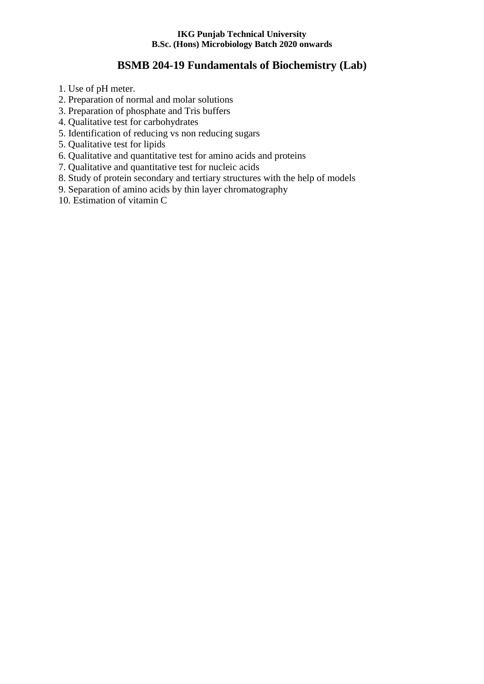# **BSMB 204-19 Fundamentals of Biochemistry (Lab)**

- 1. Use of pH meter.
- 2. Preparation of normal and molar solutions
- 3. Preparation of phosphate and Tris buffers
- 4. Qualitative test for carbohydrates
- 5. Identification of reducing vs non reducing sugars
- 5. Qualitative test for lipids
- 6. Qualitative and quantitative test for amino acids and proteins
- 7. Qualitative and quantitative test for nucleic acids
- 8. Study of protein secondary and tertiary structures with the help of models
- 9. Separation of amino acids by thin layer chromatography
- 10. Estimation of vitamin C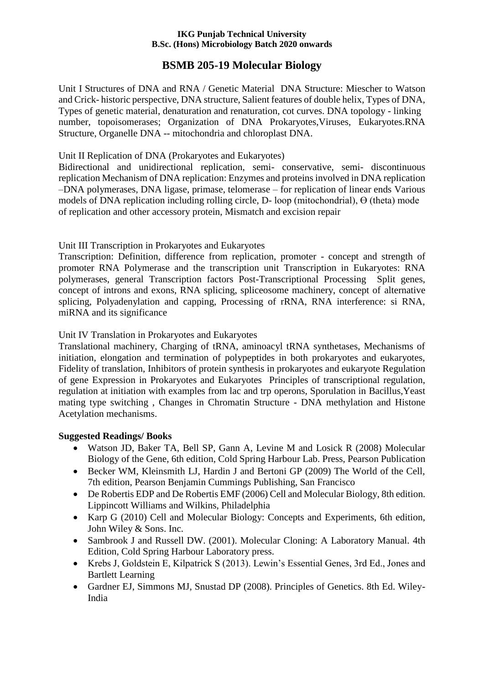# **BSMB 205-19 Molecular Biology**

Unit I Structures of DNA and RNA / Genetic Material DNA Structure: Miescher to Watson and Crick- historic perspective, DNA structure, Salient features of double helix, Types of DNA, Types of genetic material, denaturation and renaturation, cot curves. DNA topology - linking number, topoisomerases; Organization of DNA Prokaryotes,Viruses, Eukaryotes.RNA Structure, Organelle DNA -- mitochondria and chloroplast DNA.

## Unit II Replication of DNA (Prokaryotes and Eukaryotes)

Bidirectional and unidirectional replication, semi- conservative, semi- discontinuous replication Mechanism of DNA replication: Enzymes and proteins involved in DNA replication –DNA polymerases, DNA ligase, primase, telomerase – for replication of linear ends Various models of DNA replication including rolling circle, D- loop (mitochondrial), Ө (theta) mode of replication and other accessory protein, Mismatch and excision repair

## Unit III Transcription in Prokaryotes and Eukaryotes

Transcription: Definition, difference from replication, promoter - concept and strength of promoter RNA Polymerase and the transcription unit Transcription in Eukaryotes: RNA polymerases, general Transcription factors Post-Transcriptional Processing Split genes, concept of introns and exons, RNA splicing, spliceosome machinery, concept of alternative splicing, Polyadenylation and capping, Processing of rRNA, RNA interference: si RNA, miRNA and its significance

## Unit IV Translation in Prokaryotes and Eukaryotes

Translational machinery, Charging of tRNA, aminoacyl tRNA synthetases, Mechanisms of initiation, elongation and termination of polypeptides in both prokaryotes and eukaryotes, Fidelity of translation, Inhibitors of protein synthesis in prokaryotes and eukaryote Regulation of gene Expression in Prokaryotes and Eukaryotes Principles of transcriptional regulation, regulation at initiation with examples from lac and trp operons, Sporulation in Bacillus,Yeast mating type switching , Changes in Chromatin Structure - DNA methylation and Histone Acetylation mechanisms.

## **Suggested Readings/ Books**

- Watson JD, Baker TA, Bell SP, Gann A, Levine M and Losick R (2008) Molecular Biology of the Gene, 6th edition, Cold Spring Harbour Lab. Press, Pearson Publication
- Becker WM, Kleinsmith LJ, Hardin J and Bertoni GP (2009) The World of the Cell, 7th edition, Pearson Benjamin Cummings Publishing, San Francisco
- De Robertis EDP and De Robertis EMF (2006) Cell and Molecular Biology, 8th edition. Lippincott Williams and Wilkins, Philadelphia
- Karp G (2010) Cell and Molecular Biology: Concepts and Experiments, 6th edition, John Wiley & Sons. Inc.
- Sambrook J and Russell DW. (2001). Molecular Cloning: A Laboratory Manual. 4th Edition, Cold Spring Harbour Laboratory press.
- Krebs J, Goldstein E, Kilpatrick S (2013). Lewin's Essential Genes, 3rd Ed., Jones and Bartlett Learning
- Gardner EJ, Simmons MJ, Snustad DP (2008). Principles of Genetics. 8th Ed. Wiley-India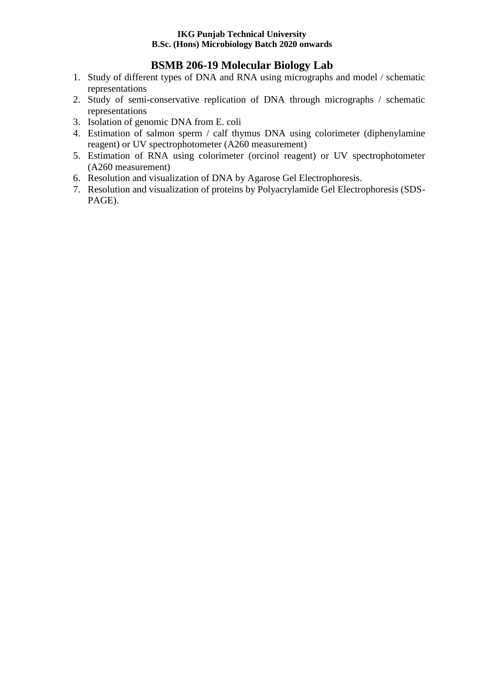# **BSMB 206-19 Molecular Biology Lab**

- 1. Study of different types of DNA and RNA using micrographs and model / schematic representations
- 2. Study of semi-conservative replication of DNA through micrographs / schematic representations
- 3. Isolation of genomic DNA from E. coli
- 4. Estimation of salmon sperm / calf thymus DNA using colorimeter (diphenylamine reagent) or UV spectrophotometer (A260 measurement)
- 5. Estimation of RNA using colorimeter (orcinol reagent) or UV spectrophotometer (A260 measurement)
- 6. Resolution and visualization of DNA by Agarose Gel Electrophoresis.
- 7. Resolution and visualization of proteins by Polyacrylamide Gel Electrophoresis (SDS-PAGE).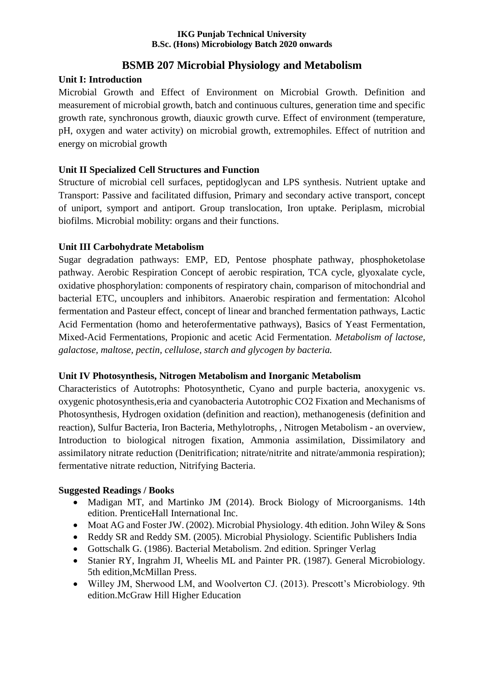# **BSMB 207 Microbial Physiology and Metabolism**

## **Unit I: Introduction**

Microbial Growth and Effect of Environment on Microbial Growth. Definition and measurement of microbial growth, batch and continuous cultures, generation time and specific growth rate, synchronous growth, diauxic growth curve. Effect of environment (temperature, pH, oxygen and water activity) on microbial growth, extremophiles. Effect of nutrition and energy on microbial growth

## **Unit II Specialized Cell Structures and Function**

Structure of microbial cell surfaces, peptidoglycan and LPS synthesis. Nutrient uptake and Transport: Passive and facilitated diffusion, Primary and secondary active transport, concept of uniport, symport and antiport. Group translocation, Iron uptake. Periplasm, microbial biofilms. Microbial mobility: organs and their functions.

## **Unit III Carbohydrate Metabolism**

Sugar degradation pathways: EMP, ED, Pentose phosphate pathway, phosphoketolase pathway. Aerobic Respiration Concept of aerobic respiration, TCA cycle, glyoxalate cycle, oxidative phosphorylation: components of respiratory chain, comparison of mitochondrial and bacterial ETC, uncouplers and inhibitors. Anaerobic respiration and fermentation: Alcohol fermentation and Pasteur effect, concept of linear and branched fermentation pathways, Lactic Acid Fermentation (homo and heterofermentative pathways), Basics of Yeast Fermentation, Mixed-Acid Fermentations, Propionic and acetic Acid Fermentation. *Metabolism of lactose, galactose, maltose, pectin, cellulose, starch and glycogen by bacteria.*

## **Unit IV Photosynthesis, Nitrogen Metabolism and Inorganic Metabolism**

Characteristics of Autotrophs: Photosynthetic, Cyano and purple bacteria, anoxygenic vs. oxygenic photosynthesis,eria and cyanobacteria Autotrophic CO2 Fixation and Mechanisms of Photosynthesis, Hydrogen oxidation (definition and reaction), methanogenesis (definition and reaction), Sulfur Bacteria, Iron Bacteria, Methylotrophs, , Nitrogen Metabolism - an overview, Introduction to biological nitrogen fixation, Ammonia assimilation, Dissimilatory and assimilatory nitrate reduction (Denitrification; nitrate/nitrite and nitrate/ammonia respiration); fermentative nitrate reduction, Nitrifying Bacteria.

## **Suggested Readings / Books**

- Madigan MT, and Martinko JM (2014). Brock Biology of Microorganisms. 14th edition. PrenticeHall International Inc.
- Moat AG and Foster JW. (2002). Microbial Physiology. 4th edition. John Wiley & Sons
- Reddy SR and Reddy SM. (2005). Microbial Physiology. Scientific Publishers India
- Gottschalk G. (1986). Bacterial Metabolism. 2nd edition. Springer Verlag
- Stanier RY, Ingrahm JI, Wheelis ML and Painter PR. (1987). General Microbiology. 5th edition,McMillan Press.
- Willey JM, Sherwood LM, and Woolverton CJ. (2013). Prescott's Microbiology. 9th edition.McGraw Hill Higher Education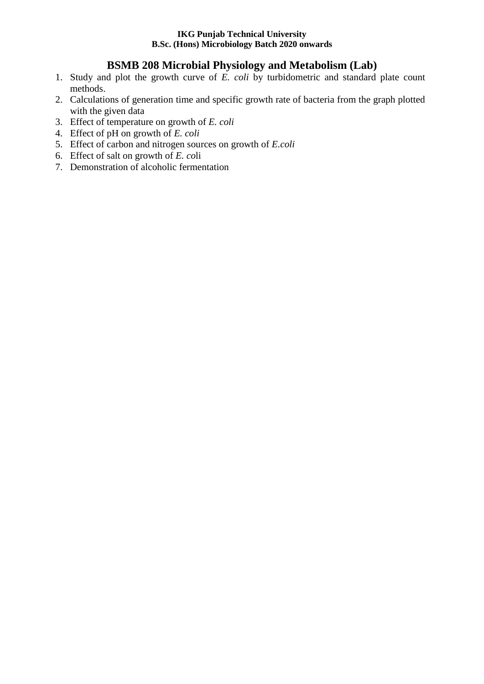# **BSMB 208 Microbial Physiology and Metabolism (Lab)**

- 1. Study and plot the growth curve of *E. coli* by turbidometric and standard plate count methods.
- 2. Calculations of generation time and specific growth rate of bacteria from the graph plotted with the given data
- 3. Effect of temperature on growth of *E. coli*
- 4. Effect of pH on growth of *E. coli*
- 5. Effect of carbon and nitrogen sources on growth of *E.coli*
- 6. Effect of salt on growth of *E. co*li
- 7. Demonstration of alcoholic fermentation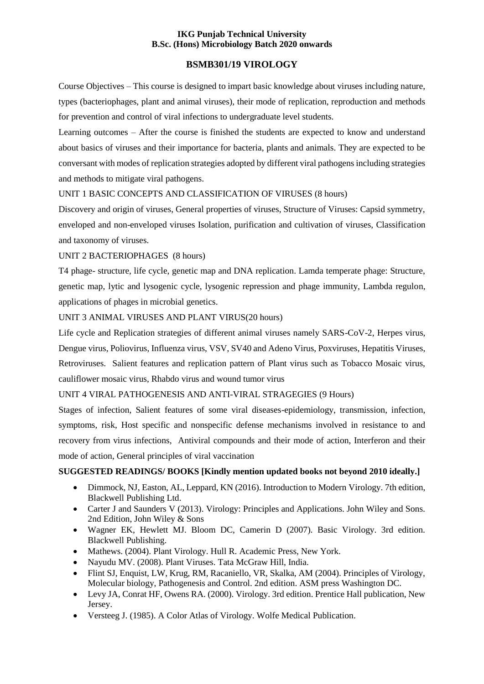## **BSMB301/19 VIROLOGY**

Course Objectives – This course is designed to impart basic knowledge about viruses including nature, types (bacteriophages, plant and animal viruses), their mode of replication, reproduction and methods for prevention and control of viral infections to undergraduate level students.

Learning outcomes – After the course is finished the students are expected to know and understand about basics of viruses and their importance for bacteria, plants and animals. They are expected to be conversant with modes of replication strategies adopted by different viral pathogens including strategies and methods to mitigate viral pathogens.

## UNIT 1 BASIC CONCEPTS AND CLASSIFICATION OF VIRUSES (8 hours)

Discovery and origin of viruses, General properties of viruses, Structure of Viruses: Capsid symmetry, enveloped and non-enveloped viruses Isolation, purification and cultivation of viruses, Classification and taxonomy of viruses.

#### UNIT 2 BACTERIOPHAGES (8 hours)

T4 phage- structure, life cycle, genetic map and DNA replication. Lamda temperate phage: Structure, genetic map, lytic and lysogenic cycle, lysogenic repression and phage immunity, Lambda regulon, applications of phages in microbial genetics.

#### UNIT 3 ANIMAL VIRUSES AND PLANT VIRUS(20 hours)

Life cycle and Replication strategies of different animal viruses namely SARS-CoV-2, Herpes virus, Dengue virus, Poliovirus, Influenza virus, VSV, SV40 and Adeno Virus, Poxviruses, Hepatitis Viruses, Retroviruses. Salient features and replication pattern of Plant virus such as Tobacco Mosaic virus, cauliflower mosaic virus, Rhabdo virus and wound tumor virus

## UNIT 4 VIRAL PATHOGENESIS AND ANTI-VIRAL STRAGEGIES (9 Hours)

Stages of infection, Salient features of some viral diseases-epidemiology, transmission, infection, symptoms, risk, Host specific and nonspecific defense mechanisms involved in resistance to and recovery from virus infections, Antiviral compounds and their mode of action, Interferon and their mode of action, General principles of viral vaccination

#### **SUGGESTED READINGS/ BOOKS [Kindly mention updated books not beyond 2010 ideally.]**

- Dimmock, NJ, Easton, AL, Leppard, KN (2016). Introduction to Modern Virology. 7th edition, Blackwell Publishing Ltd.
- Carter J and Saunders V (2013). Virology: Principles and Applications. John Wiley and Sons. 2nd Edition, John Wiley & Sons
- Wagner EK, Hewlett MJ. Bloom DC, Camerin D (2007). Basic Virology. 3rd edition. Blackwell Publishing.
- Mathews. (2004). Plant Virology. Hull R. Academic Press, New York.
- Nayudu MV. (2008). Plant Viruses. Tata McGraw Hill, India.
- Flint SJ, Enquist, LW, Krug, RM, Racaniello, VR, Skalka, AM (2004). Principles of Virology, Molecular biology, Pathogenesis and Control. 2nd edition. ASM press Washington DC.
- Levy JA, Conrat HF, Owens RA. (2000). Virology. 3rd edition. Prentice Hall publication, New Jersey.
- Versteeg J. (1985). A Color Atlas of Virology. Wolfe Medical Publication.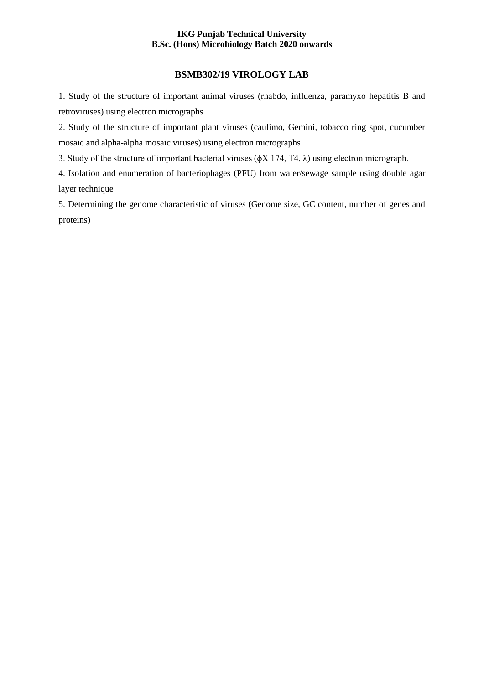## **BSMB302/19 VIROLOGY LAB**

1. Study of the structure of important animal viruses (rhabdo, influenza, paramyxo hepatitis B and retroviruses) using electron micrographs

2. Study of the structure of important plant viruses (caulimo, Gemini, tobacco ring spot, cucumber mosaic and alpha-alpha mosaic viruses) using electron micrographs

3. Study of the structure of important bacterial viruses (ɸX 174, T4, λ) using electron micrograph.

4. Isolation and enumeration of bacteriophages (PFU) from water/sewage sample using double agar layer technique

5. Determining the genome characteristic of viruses (Genome size, GC content, number of genes and proteins)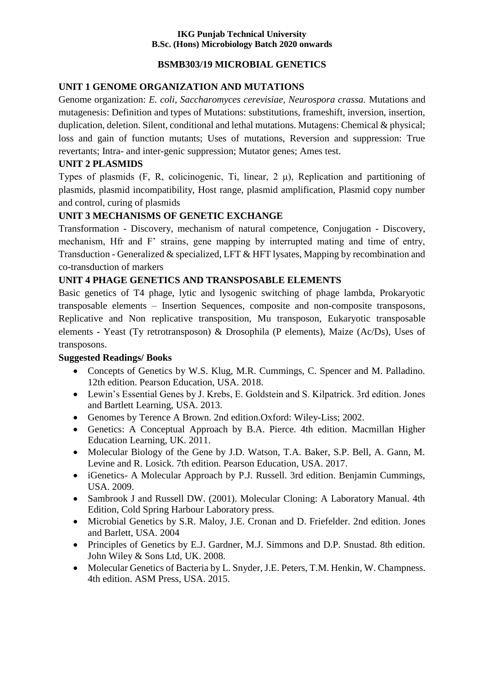## **BSMB303/19 MICROBIAL GENETICS**

## **UNIT 1 GENOME ORGANIZATION AND MUTATIONS**

Genome organization: *E. coli, Saccharomyces cerevisiae, Neurospora crassa.* Mutations and mutagenesis: Definition and types of Mutations: substitutions, frameshift, inversion, insertion, duplication, deletion. Silent, conditional and lethal mutations. Mutagens: Chemical & physical; loss and gain of function mutants; Uses of mutations, Reversion and suppression: True revertants; Intra- and inter-genic suppression; Mutator genes; Ames test.

## **UNIT 2 PLASMIDS**

Types of plasmids (F, R, colicinogenic, Ti, linear, 2 μ), Replication and partitioning of plasmids, plasmid incompatibility, Host range, plasmid amplification, Plasmid copy number and control, curing of plasmids

## **UNIT 3 MECHANISMS OF GENETIC EXCHANGE**

Transformation - Discovery, mechanism of natural competence, Conjugation - Discovery, mechanism, Hfr and F' strains, gene mapping by interrupted mating and time of entry, Transduction - Generalized & specialized, LFT & HFT lysates, Mapping by recombination and co-transduction of markers

## **UNIT 4 PHAGE GENETICS AND TRANSPOSABLE ELEMENTS**

Basic genetics of T4 phage, lytic and lysogenic switching of phage lambda, Prokaryotic transposable elements – Insertion Sequences, composite and non-composite transposons, Replicative and Non replicative transposition, Mu transposon, Eukaryotic transposable elements - Yeast (Ty retrotransposon) & Drosophila (P elements), Maize (Ac/Ds), Uses of transposons.

## **Suggested Readings/ Books**

- Concepts of Genetics by W.S. Klug, M.R. Cummings, C. Spencer and M. Palladino. 12th edition. Pearson Education, USA. 2018.
- Lewin's Essential Genes by J. Krebs, E. Goldstein and S. Kilpatrick. 3rd edition. Jones and Bartlett Learning, USA. 2013.
- Genomes by Terence A Brown. 2nd edition.Oxford: [Wiley-Liss;](https://www.wiley.com/en-us) 2002.
- Genetics: A Conceptual Approach by B.A. Pierce. 4th edition. Macmillan Higher Education Learning, UK. 2011.
- Molecular Biology of the Gene by J.D. Watson, T.A. Baker, S.P. Bell, A. Gann, M. Levine and R. Losick. 7th edition. Pearson Education, USA. 2017.
- iGenetics- A Molecular Approach by P.J. Russell. 3rd edition. Benjamin Cummings, USA. 2009.
- Sambrook J and Russell DW. (2001). Molecular Cloning: A Laboratory Manual. 4th Edition, Cold Spring Harbour Laboratory press.
- Microbial Genetics by S.R. Maloy, J.E. Cronan and D. Friefelder. 2nd edition. Jones and Barlett, USA. 2004
- Principles of Genetics by E.J. Gardner, M.J. Simmons and D.P. Snustad. 8th edition. John Wiley & Sons Ltd, UK. 2008.
- Molecular Genetics of Bacteria by L. Snyder, J.E. Peters, T.M. Henkin, W. Champness. 4th edition. ASM Press, USA. 2015.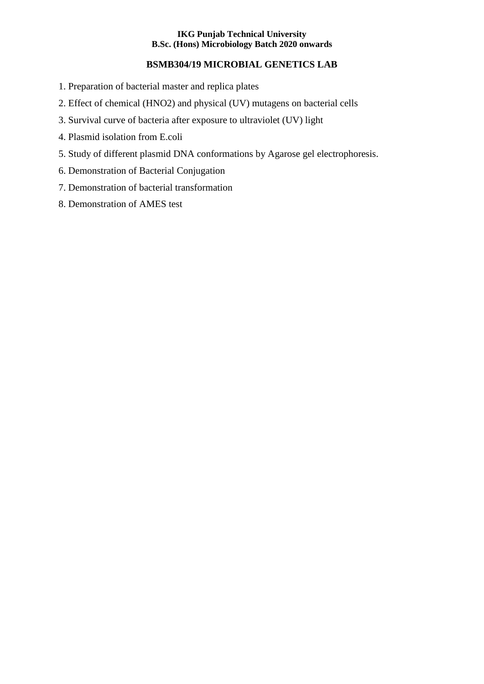## **BSMB304/19 MICROBIAL GENETICS LAB**

- 1. Preparation of bacterial master and replica plates
- 2. Effect of chemical (HNO2) and physical (UV) mutagens on bacterial cells
- 3. Survival curve of bacteria after exposure to ultraviolet (UV) light
- 4. Plasmid isolation from E.coli
- 5. Study of different plasmid DNA conformations by Agarose gel electrophoresis.
- 6. Demonstration of Bacterial Conjugation
- 7. Demonstration of bacterial transformation
- 8. Demonstration of AMES test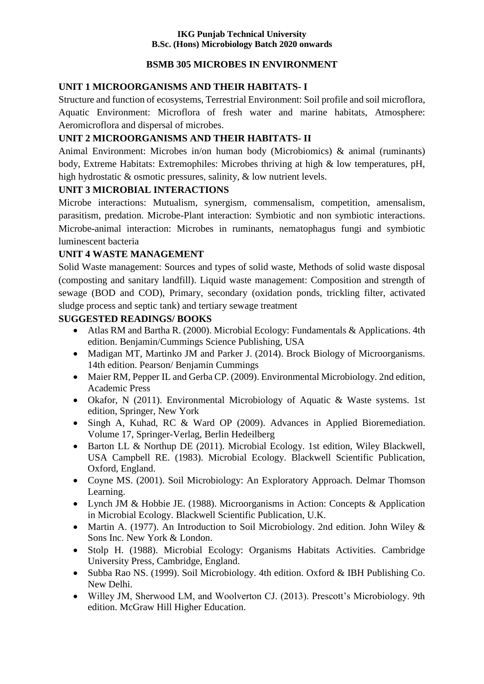## **BSMB 305 MICROBES IN ENVIRONMENT**

## **UNIT 1 MICROORGANISMS AND THEIR HABITATS- I**

Structure and function of ecosystems, Terrestrial Environment: Soil profile and soil microflora, Aquatic Environment: Microflora of fresh water and marine habitats, Atmosphere: Aeromicroflora and dispersal of microbes.

# **UNIT 2 MICROORGANISMS AND THEIR HABITATS- II**

Animal Environment: Microbes in/on human body (Microbiomics) & animal (ruminants) body, Extreme Habitats: Extremophiles: Microbes thriving at high & low temperatures, pH, high hydrostatic & osmotic pressures, salinity, & low nutrient levels.

## **UNIT 3 MICROBIAL INTERACTIONS**

Microbe interactions: Mutualism, synergism, commensalism, competition, amensalism, parasitism, predation. Microbe-Plant interaction: Symbiotic and non symbiotic interactions. Microbe-animal interaction: Microbes in ruminants, nematophagus fungi and symbiotic luminescent bacteria

# **UNIT 4 WASTE MANAGEMENT**

Solid Waste management: Sources and types of solid waste, Methods of solid waste disposal (composting and sanitary landfill). Liquid waste management: Composition and strength of sewage (BOD and COD), Primary, secondary (oxidation ponds, trickling filter, activated sludge process and septic tank) and tertiary sewage treatment

# **SUGGESTED READINGS/ BOOKS**

- Atlas RM and Bartha R. (2000). Microbial Ecology: Fundamentals & Applications. 4th edition. Benjamin/Cummings Science Publishing, USA
- Madigan MT, Martinko JM and Parker J. (2014). Brock Biology of Microorganisms. 14th edition. Pearson/ Benjamin Cummings
- Maier RM, Pepper IL and Gerba CP. (2009). Environmental Microbiology. 2nd edition, Academic Press
- Okafor, N (2011). Environmental Microbiology of Aquatic & Waste systems. 1st edition, Springer, New York
- Singh A, Kuhad, RC & Ward OP (2009). Advances in Applied Bioremediation. Volume 17, Springer-Verlag, Berlin Hedeilberg
- Barton LL & Northup DE (2011). Microbial Ecology. 1st edition, Wiley Blackwell, USA Campbell RE. (1983). Microbial Ecology. Blackwell Scientific Publication, Oxford, England.
- Coyne MS. (2001). Soil Microbiology: An Exploratory Approach. Delmar Thomson Learning.
- Lynch JM & Hobbie JE. (1988). Microorganisms in Action: Concepts & Application in Microbial Ecology. Blackwell Scientific Publication, U.K.
- Martin A. (1977). An Introduction to Soil Microbiology. 2nd edition. John Wiley & Sons Inc. New York & London.
- Stolp H. (1988). Microbial Ecology: Organisms Habitats Activities. Cambridge University Press, Cambridge, England.
- Subba Rao NS. (1999). Soil Microbiology. 4th edition. Oxford & IBH Publishing Co. New Delhi.
- Willey JM, Sherwood LM, and Woolverton CJ. (2013). Prescott's Microbiology. 9th edition. McGraw Hill Higher Education.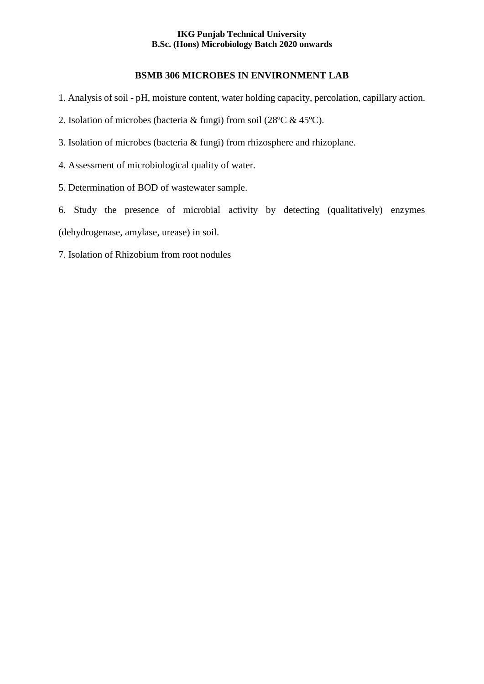#### **BSMB 306 MICROBES IN ENVIRONMENT LAB**

- 1. Analysis of soil pH, moisture content, water holding capacity, percolation, capillary action.
- 2. Isolation of microbes (bacteria & fungi) from soil (28ºC & 45ºC).
- 3. Isolation of microbes (bacteria & fungi) from rhizosphere and rhizoplane.
- 4. Assessment of microbiological quality of water.
- 5. Determination of BOD of wastewater sample.

6. Study the presence of microbial activity by detecting (qualitatively) enzymes (dehydrogenase, amylase, urease) in soil.

7. Isolation of Rhizobium from root nodules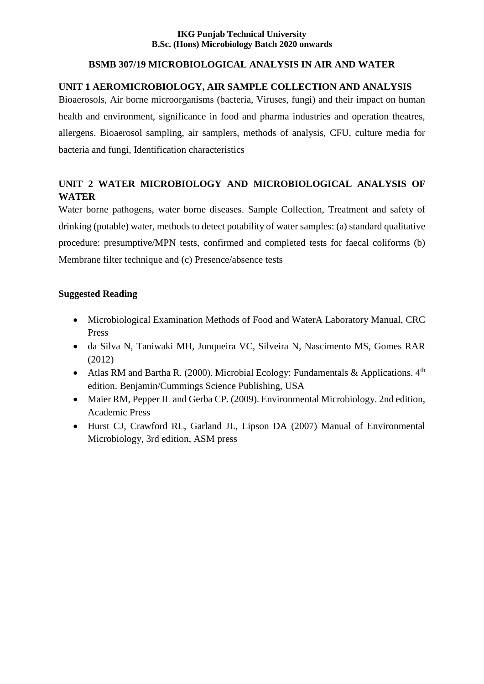## **BSMB 307/19 MICROBIOLOGICAL ANALYSIS IN AIR AND WATER**

## **UNIT 1 AEROMICROBIOLOGY, AIR SAMPLE COLLECTION AND ANALYSIS**

Bioaerosols, Air borne microorganisms (bacteria, Viruses, fungi) and their impact on human health and environment, significance in food and pharma industries and operation theatres, allergens. Bioaerosol sampling, air samplers, methods of analysis, CFU, culture media for bacteria and fungi, Identification characteristics

# **UNIT 2 WATER MICROBIOLOGY AND MICROBIOLOGICAL ANALYSIS OF WATER**

Water borne pathogens, water borne diseases. Sample Collection, Treatment and safety of drinking (potable) water, methods to detect potability of water samples: (a) standard qualitative procedure: presumptive/MPN tests, confirmed and completed tests for faecal coliforms (b) Membrane filter technique and (c) Presence/absence tests

## **Suggested Reading**

- Microbiological Examination Methods of Food and WaterA Laboratory Manual, CRC Press
- da Silva N, Taniwaki MH, Junqueira VC, Silveira N, Nascimento MS, Gomes RAR (2012)
- Atlas RM and Bartha R. (2000). Microbial Ecology: Fundamentals & Applications.  $4<sup>th</sup>$ edition. Benjamin/Cummings Science Publishing, USA
- Maier RM, Pepper IL and Gerba CP. (2009). Environmental Microbiology. 2nd edition, Academic Press
- Hurst CJ, Crawford RL, Garland JL, Lipson DA (2007) Manual of Environmental Microbiology, 3rd edition, ASM press